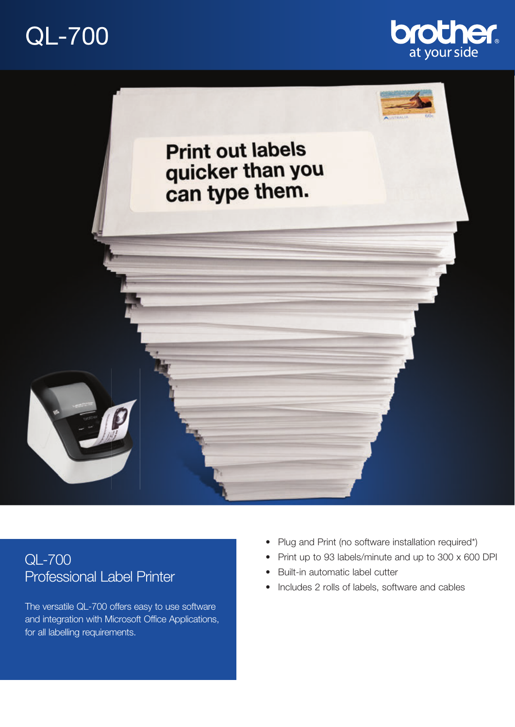# QL-700





# QL-700 Professional Label Printer

The versatile QL-700 offers easy to use software and integration with Microsoft Office Applications, for all labelling requirements.

- Plug and Print (no software installation required\*)
- Print up to 93 labels/minute and up to 300 x 600 DPI
- Built-in automatic label cutter
- Includes 2 rolls of labels, software and cables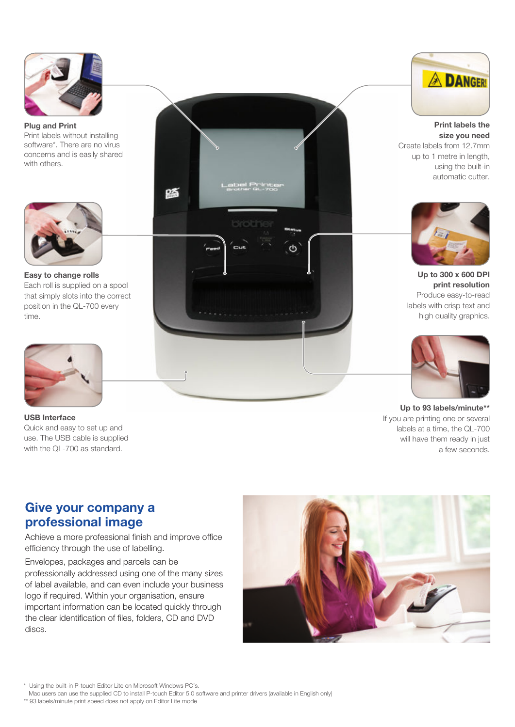

#### **Plug and Print** Print labels without installing software\*. There are no virus concerns and is easily shared with others.



#### **Easy to change rolls** Each roll is supplied on a spool that simply slots into the correct position in the QL-700 every time.



**USB Interface** Quick and easy to set up and use. The USB cable is supplied with the QL-700 as standard.





**Print labels the size you need** Create labels from 12.7mm up to 1 metre in length, using the built-in automatic cutter.



**Up to 300 x 600 DPI print resolution** Produce easy-to-read labels with crisp text and high quality graphics.



**Up to 93 labels/minute\*\*** If you are printing one or several labels at a time, the QL-700 will have them ready in just a few seconds.

# **Give your company a professional image**

Achieve a more professional finish and improve office efficiency through the use of labelling.

Envelopes, packages and parcels can be professionally addressed using one of the many sizes of label available, and can even include your business logo if required. Within your organisation, ensure important information can be located quickly through the clear identification of files, folders, CD and DVD discs.



\* Using the built-in P-touch Editor Lite on Microsoft Windows PC's.

Mac users can use the supplied CD to install P-touch Editor 5.0 software and printer drivers (available in English only)

\*\* 93 labels/minute print speed does not apply on Editor Lite mode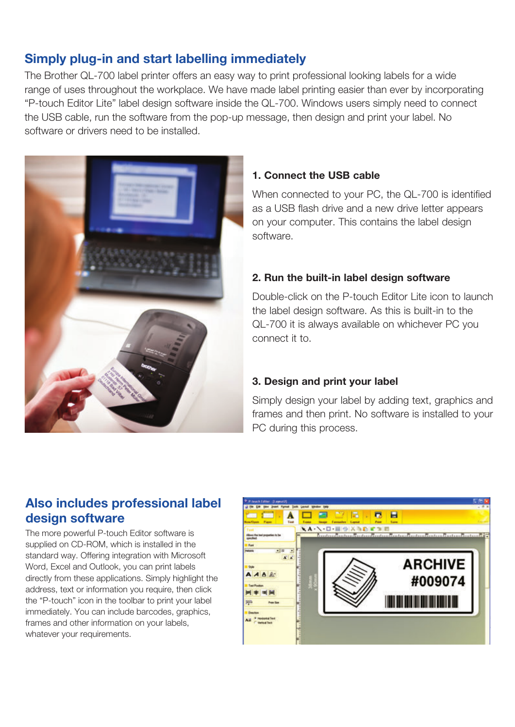# **Simply plug-in and start labelling immediately**

The Brother QL-700 label printer offers an easy way to print professional looking labels for a wide range of uses throughout the workplace. We have made label printing easier than ever by incorporating "P-touch Editor Lite" label design software inside the QL-700. Windows users simply need to connect the USB cable, run the software from the pop-up message, then design and print your label. No software or drivers need to be installed.



### **1. Connect the USB cable**

When connected to your PC, the QL-700 is identified as a USB flash drive and a new drive letter appears on your computer. This contains the label design software.

### **2. Run the built-in label design software**

Double-click on the P-touch Editor Lite icon to launch the label design software. As this is built-in to the QL-700 it is always available on whichever PC you connect it to.

## **3. Design and print your label**

Simply design your label by adding text, graphics and frames and then print. No software is installed to your PC during this process.

# **Also includes professional label design software**

The more powerful P-touch Editor software is supplied on CD-ROM, which is installed in the standard way. Offering integration with Microsoft Word, Excel and Outlook, you can print labels directly from these applications. Simply highlight the address, text or information you require, then click the "P-touch" icon in the toolbar to print your label immediately. You can include barcodes, graphics, frames and other information on your labels, whatever your requirements.

![](_page_2_Picture_11.jpeg)